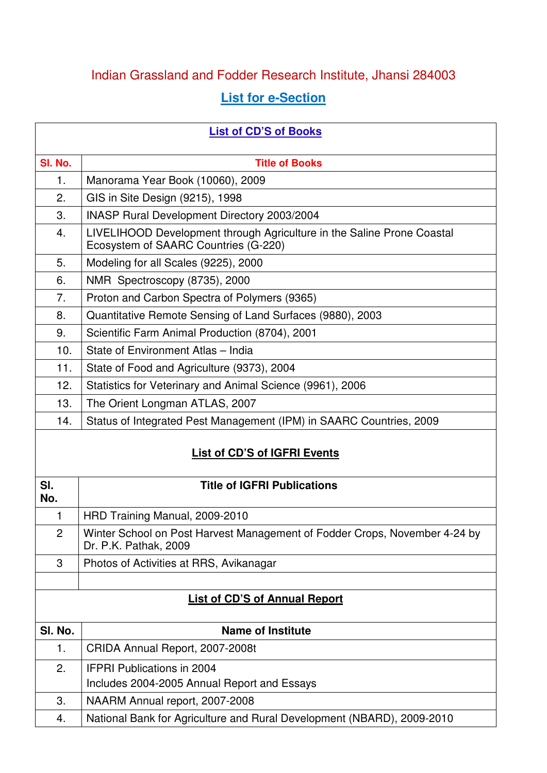## Indian Grassland and Fodder Research Institute, Jhansi 284003

## **List for e-Section**

| <b>List of CD'S of Books</b> |                                                                                                                |  |
|------------------------------|----------------------------------------------------------------------------------------------------------------|--|
| SI. No.                      | <b>Title of Books</b>                                                                                          |  |
| 1.                           | Manorama Year Book (10060), 2009                                                                               |  |
| 2.                           | GIS in Site Design (9215), 1998                                                                                |  |
| 3.                           | INASP Rural Development Directory 2003/2004                                                                    |  |
| 4.                           | LIVELIHOOD Development through Agriculture in the Saline Prone Coastal<br>Ecosystem of SAARC Countries (G-220) |  |
| 5.                           | Modeling for all Scales (9225), 2000                                                                           |  |
| 6.                           | NMR Spectroscopy (8735), 2000                                                                                  |  |
| 7.                           | Proton and Carbon Spectra of Polymers (9365)                                                                   |  |
| 8.                           | Quantitative Remote Sensing of Land Surfaces (9880), 2003                                                      |  |
| 9.                           | Scientific Farm Animal Production (8704), 2001                                                                 |  |
| 10.                          | State of Environment Atlas - India                                                                             |  |
| 11.                          | State of Food and Agriculture (9373), 2004                                                                     |  |
| 12.                          | Statistics for Veterinary and Animal Science (9961), 2006                                                      |  |
| 13.                          | The Orient Longman ATLAS, 2007                                                                                 |  |
| 14.                          | Status of Integrated Pest Management (IPM) in SAARC Countries, 2009                                            |  |
| List of CD'S of IGFRI Events |                                                                                                                |  |
| SI.<br>No.                   | <b>Title of IGFRI Publications</b>                                                                             |  |
| 1                            | HRD Training Manual, 2009-2010                                                                                 |  |
| $\overline{c}$               | Winter School on Post Harvest Management of Fodder Crops, November 4-24 by<br>Dr. P.K. Pathak, 2009            |  |
| 3                            | Photos of Activities at RRS, Avikanagar                                                                        |  |
|                              |                                                                                                                |  |
|                              | <b>List of CD'S of Annual Report</b>                                                                           |  |
| SI. No.                      | <b>Name of Institute</b>                                                                                       |  |
| 1.                           | CRIDA Annual Report, 2007-2008t                                                                                |  |
| 2.                           | <b>IFPRI Publications in 2004</b><br>Includes 2004-2005 Annual Report and Essays                               |  |
| 3.                           | NAARM Annual report, 2007-2008                                                                                 |  |
| 4.                           | National Bank for Agriculture and Rural Development (NBARD), 2009-2010                                         |  |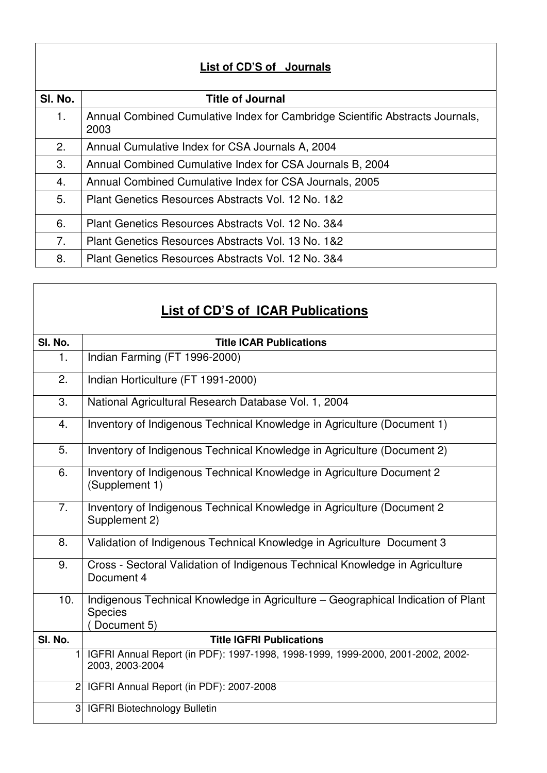| List of CD'S of Journals |                                                                                       |  |  |
|--------------------------|---------------------------------------------------------------------------------------|--|--|
| SI. No.                  | <b>Title of Journal</b>                                                               |  |  |
| 1.                       | Annual Combined Cumulative Index for Cambridge Scientific Abstracts Journals,<br>2003 |  |  |
| 2.                       | Annual Cumulative Index for CSA Journals A, 2004                                      |  |  |
| 3.                       | Annual Combined Cumulative Index for CSA Journals B, 2004                             |  |  |
| 4.                       | Annual Combined Cumulative Index for CSA Journals, 2005                               |  |  |
| 5.                       | Plant Genetics Resources Abstracts Vol. 12 No. 1&2                                    |  |  |
| 6.                       | Plant Genetics Resources Abstracts Vol. 12 No. 3&4                                    |  |  |
| 7.                       | Plant Genetics Resources Abstracts Vol. 13 No. 1&2                                    |  |  |
| 8.                       | Plant Genetics Resources Abstracts Vol. 12 No. 3&4                                    |  |  |

## **List of CD'S of ICAR Publications**

| SI. No.        | <b>Title ICAR Publications</b>                                                                                    |
|----------------|-------------------------------------------------------------------------------------------------------------------|
| 1.             | Indian Farming (FT 1996-2000)                                                                                     |
| 2.             | Indian Horticulture (FT 1991-2000)                                                                                |
| 3.             | National Agricultural Research Database Vol. 1, 2004                                                              |
| 4.             | Inventory of Indigenous Technical Knowledge in Agriculture (Document 1)                                           |
| 5.             | Inventory of Indigenous Technical Knowledge in Agriculture (Document 2)                                           |
| 6.             | Inventory of Indigenous Technical Knowledge in Agriculture Document 2<br>(Supplement 1)                           |
| 7.             | Inventory of Indigenous Technical Knowledge in Agriculture (Document 2)<br>Supplement 2)                          |
| 8.             | Validation of Indigenous Technical Knowledge in Agriculture Document 3                                            |
| 9.             | Cross - Sectoral Validation of Indigenous Technical Knowledge in Agriculture<br>Document 4                        |
| 10.            | Indigenous Technical Knowledge in Agriculture – Geographical Indication of Plant<br><b>Species</b><br>Document 5) |
| SI. No.        | <b>Title IGFRI Publications</b>                                                                                   |
| $\mathbf{1}$   | IGFRI Annual Report (in PDF): 1997-1998, 1998-1999, 1999-2000, 2001-2002, 2002-<br>2003, 2003-2004                |
| 2 <sub>l</sub> | IGFRI Annual Report (in PDF): 2007-2008                                                                           |
| 3              | <b>IGFRI Biotechnology Bulletin</b>                                                                               |